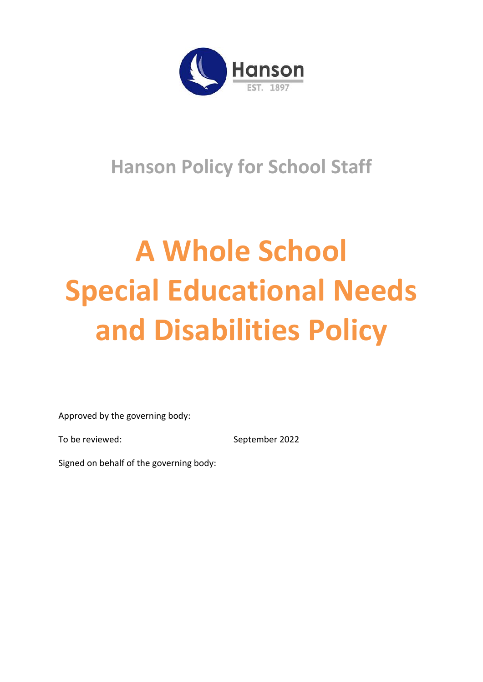

# **Hanson Policy for School Staff**

# **A Whole School Special Educational Needs and Disabilities Policy**

Approved by the governing body:

To be reviewed: September 2022

Signed on behalf of the governing body: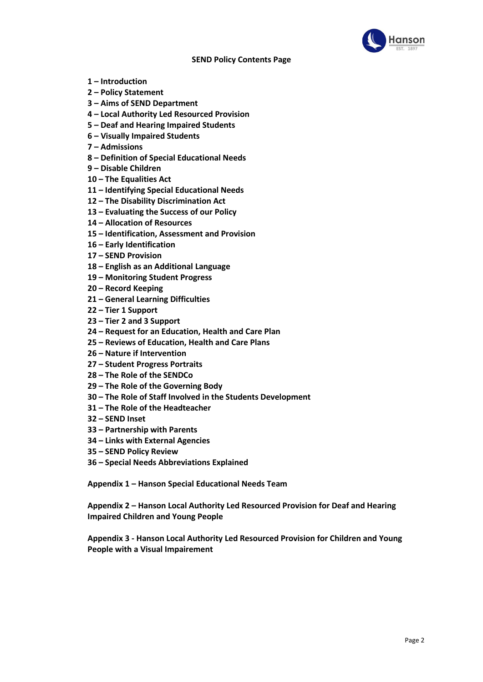

#### **SEND Policy Contents Page**

- **– Introduction**
- **– Policy Statement**
- **– Aims of SEND Department**
- **– Local Authority Led Resourced Provision**
- **– Deaf and Hearing Impaired Students**
- **– Visually Impaired Students**
- **– Admissions**
- **– Definition of Special Educational Needs**
- **– Disable Children**
- **– The Equalities Act**
- **– Identifying Special Educational Needs**
- **– The Disability Discrimination Act**
- **– Evaluating the Success of our Policy**
- **– Allocation of Resources**
- **– Identification, Assessment and Provision**
- **– Early Identification**
- **– SEND Provision**
- **– English as an Additional Language**
- **– Monitoring Student Progress**
- **– Record Keeping**
- **– General Learning Difficulties**
- **– Tier 1 Support**
- **– Tier 2 and 3 Support**
- **– Request for an Education, Health and Care Plan**
- **– Reviews of Education, Health and Care Plans**
- **– Nature if Intervention**
- **– Student Progress Portraits**
- **– The Role of the SENDCo**
- **– The Role of the Governing Body**
- **– The Role of Staff Involved in the Students Development**
- **– The Role of the Headteacher**
- **– SEND Inset**
- **– Partnership with Parents**
- **– Links with External Agencies**
- **– SEND Policy Review**
- **– Special Needs Abbreviations Explained**

**Appendix 1 – Hanson Special Educational Needs Team**

**Appendix 2 – Hanson Local Authority Led Resourced Provision for Deaf and Hearing Impaired Children and Young People**

**Appendix 3 - Hanson Local Authority Led Resourced Provision for Children and Young People with a Visual Impairement**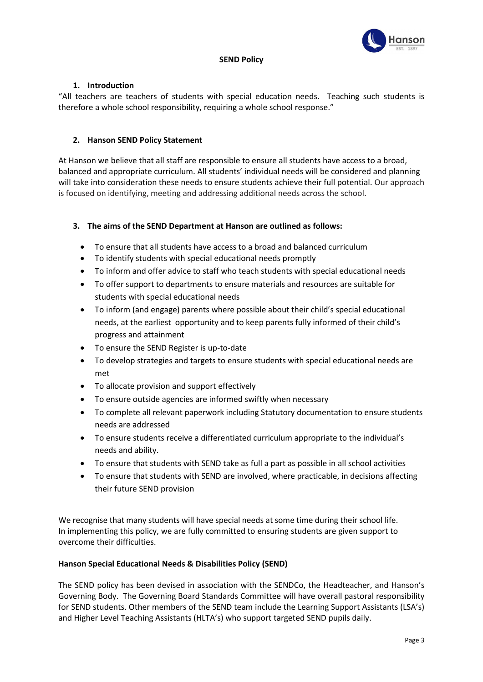

# **SEND Policy**

# **1. Introduction**

"All teachers are teachers of students with special education needs. Teaching such students is therefore a whole school responsibility, requiring a whole school response."

# **2. Hanson SEND Policy Statement**

At Hanson we believe that all staff are responsible to ensure all students have access to a broad, balanced and appropriate curriculum. All students' individual needs will be considered and planning will take into consideration these needs to ensure students achieve their full potential. Our approach is focused on identifying, meeting and addressing additional needs across the school.

# **3. The aims of the SEND Department at Hanson are outlined as follows:**

- To ensure that all students have access to a broad and balanced curriculum
- To identify students with special educational needs promptly
- To inform and offer advice to staff who teach students with special educational needs
- To offer support to departments to ensure materials and resources are suitable for students with special educational needs
- To inform (and engage) parents where possible about their child's special educational needs, at the earliest opportunity and to keep parents fully informed of their child's progress and attainment
- To ensure the SEND Register is up-to-date
- To develop strategies and targets to ensure students with special educational needs are met
- To allocate provision and support effectively
- To ensure outside agencies are informed swiftly when necessary
- To complete all relevant paperwork including Statutory documentation to ensure students needs are addressed
- To ensure students receive a differentiated curriculum appropriate to the individual's needs and ability.
- To ensure that students with SEND take as full a part as possible in all school activities
- To ensure that students with SEND are involved, where practicable, in decisions affecting their future SEND provision

We recognise that many students will have special needs at some time during their school life. In implementing this policy, we are fully committed to ensuring students are given support to overcome their difficulties.

# **Hanson Special Educational Needs & Disabilities Policy (SEND)**

The SEND policy has been devised in association with the SENDCo, the Headteacher, and Hanson's Governing Body. The Governing Board Standards Committee will have overall pastoral responsibility for SEND students. Other members of the SEND team include the Learning Support Assistants (LSA's) and Higher Level Teaching Assistants (HLTA's) who support targeted SEND pupils daily.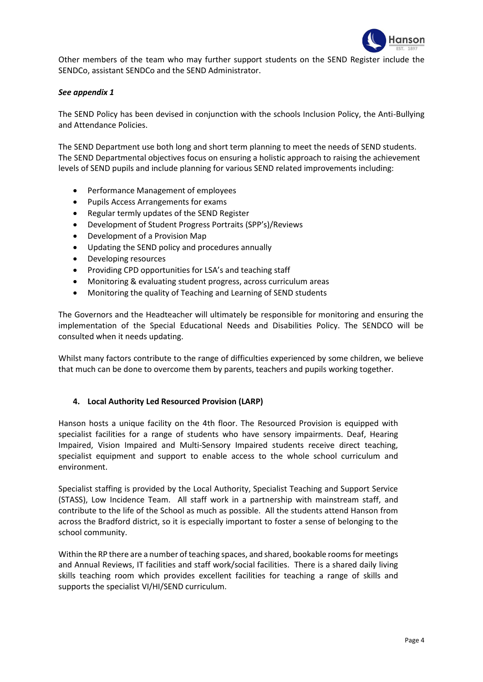

Other members of the team who may further support students on the SEND Register include the SENDCo, assistant SENDCo and the SEND Administrator.

# *See appendix 1*

The SEND Policy has been devised in conjunction with the schools Inclusion Policy, the Anti-Bullying and Attendance Policies.

The SEND Department use both long and short term planning to meet the needs of SEND students. The SEND Departmental objectives focus on ensuring a holistic approach to raising the achievement levels of SEND pupils and include planning for various SEND related improvements including:

- Performance Management of employees
- Pupils Access Arrangements for exams
- Regular termly updates of the SEND Register
- Development of Student Progress Portraits (SPP's)/Reviews
- Development of a Provision Map
- Updating the SEND policy and procedures annually
- Developing resources
- Providing CPD opportunities for LSA's and teaching staff
- Monitoring & evaluating student progress, across curriculum areas
- Monitoring the quality of Teaching and Learning of SEND students

The Governors and the Headteacher will ultimately be responsible for monitoring and ensuring the implementation of the Special Educational Needs and Disabilities Policy. The SENDCO will be consulted when it needs updating.

Whilst many factors contribute to the range of difficulties experienced by some children, we believe that much can be done to overcome them by parents, teachers and pupils working together.

# **4. Local Authority Led Resourced Provision (LARP)**

Hanson hosts a unique facility on the 4th floor. The Resourced Provision is equipped with specialist facilities for a range of students who have sensory impairments. Deaf, Hearing Impaired, Vision Impaired and Multi-Sensory Impaired students receive direct teaching, specialist equipment and support to enable access to the whole school curriculum and environment.

Specialist staffing is provided by the Local Authority, Specialist Teaching and Support Service (STASS), Low Incidence Team. All staff work in a partnership with mainstream staff, and contribute to the life of the School as much as possible. All the students attend Hanson from across the Bradford district, so it is especially important to foster a sense of belonging to the school community.

Within the RP there are a number of teaching spaces, and shared, bookable rooms for meetings and Annual Reviews, IT facilities and staff work/social facilities. There is a shared daily living skills teaching room which provides excellent facilities for teaching a range of skills and supports the specialist VI/HI/SEND curriculum.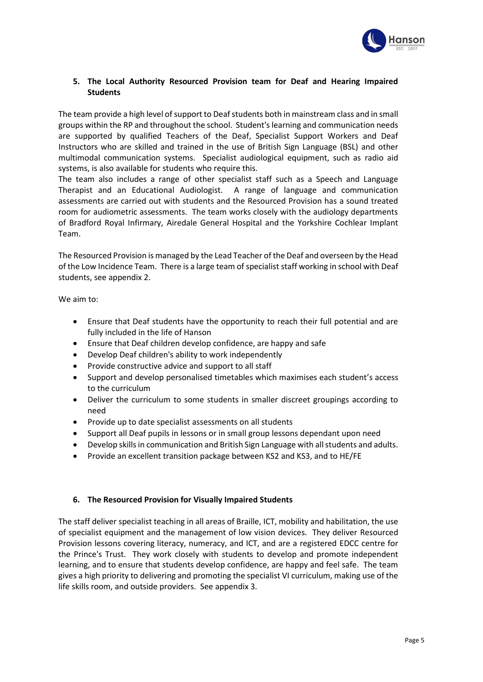

# **5. The Local Authority Resourced Provision team for Deaf and Hearing Impaired Students**

The team provide a high level of support to Deaf students both in mainstream class and in small groups within the RP and throughout the school. Student's learning and communication needs are supported by qualified Teachers of the Deaf, Specialist Support Workers and Deaf Instructors who are skilled and trained in the use of British Sign Language (BSL) and other multimodal communication systems. Specialist audiological equipment, such as radio aid systems, is also available for students who require this.

The team also includes a range of other specialist staff such as a Speech and Language Therapist and an Educational Audiologist. A range of language and communication assessments are carried out with students and the Resourced Provision has a sound treated room for audiometric assessments. The team works closely with the audiology departments of Bradford Royal Infirmary, Airedale General Hospital and the Yorkshire Cochlear Implant Team.

The Resourced Provision is managed by the Lead Teacher of the Deaf and overseen by the Head of the Low Incidence Team. There is a large team of specialist staff working in school with Deaf students, see appendix 2.

We aim to:

- Ensure that Deaf students have the opportunity to reach their full potential and are fully included in the life of Hanson
- Ensure that Deaf children develop confidence, are happy and safe
- Develop Deaf children's ability to work independently
- Provide constructive advice and support to all staff
- Support and develop personalised timetables which maximises each student's access to the curriculum
- Deliver the curriculum to some students in smaller discreet groupings according to need
- Provide up to date specialist assessments on all students
- Support all Deaf pupils in lessons or in small group lessons dependant upon need
- Develop skills in communication and British Sign Language with all students and adults.
- Provide an excellent transition package between KS2 and KS3, and to HE/FE

# **6. The Resourced Provision for Visually Impaired Students**

The staff deliver specialist teaching in all areas of Braille, ICT, mobility and habilitation, the use of specialist equipment and the management of low vision devices. They deliver Resourced Provision lessons covering literacy, numeracy, and ICT, and are a registered EDCC centre for the Prince's Trust. They work closely with students to develop and promote independent learning, and to ensure that students develop confidence, are happy and feel safe. The team gives a high priority to delivering and promoting the specialist VI curriculum, making use of the life skills room, and outside providers. See appendix 3.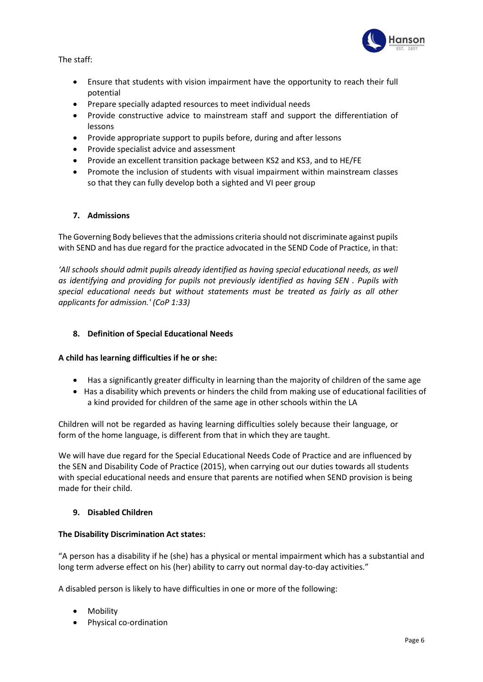

The staff:

- Ensure that students with vision impairment have the opportunity to reach their full potential
- Prepare specially adapted resources to meet individual needs
- Provide constructive advice to mainstream staff and support the differentiation of lessons
- Provide appropriate support to pupils before, during and after lessons
- Provide specialist advice and assessment
- Provide an excellent transition package between KS2 and KS3, and to HE/FE
- Promote the inclusion of students with visual impairment within mainstream classes so that they can fully develop both a sighted and VI peer group

# **7. Admissions**

The Governing Body believes that the admissions criteria should not discriminate against pupils with SEND and has due regard for the practice advocated in the SEND Code of Practice, in that:

*'All schools should admit pupils already identified as having special educational needs, as well as identifying and providing for pupils not previously identified as having SEN . Pupils with special educational needs but without statements must be treated as fairly as all other applicants for admission.' (CoP 1:33)*

# **8. Definition of Special Educational Needs**

# **A child has learning difficulties if he or she:**

- Has a significantly greater difficulty in learning than the majority of children of the same age
- Has a disability which prevents or hinders the child from making use of educational facilities of a kind provided for children of the same age in other schools within the LA

Children will not be regarded as having learning difficulties solely because their language, or form of the home language, is different from that in which they are taught.

We will have due regard for the Special Educational Needs Code of Practice and are influenced by the SEN and Disability Code of Practice (2015), when carrying out our duties towards all students with special educational needs and ensure that parents are notified when SEND provision is being made for their child.

# **9. Disabled Children**

# **The Disability Discrimination Act states:**

"A person has a disability if he (she) has a physical or mental impairment which has a substantial and long term adverse effect on his (her) ability to carry out normal day-to-day activities."

A disabled person is likely to have difficulties in one or more of the following:

- Mobility
- Physical co-ordination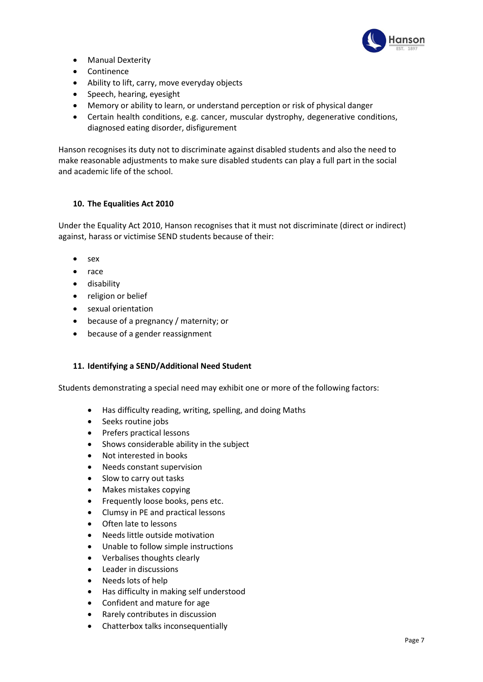

- Manual Dexterity
- Continence
- Ability to lift, carry, move everyday objects
- Speech, hearing, eyesight
- Memory or ability to learn, or understand perception or risk of physical danger
- Certain health conditions, e.g. cancer, muscular dystrophy, degenerative conditions, diagnosed eating disorder, disfigurement

Hanson recognises its duty not to discriminate against disabled students and also the need to make reasonable adjustments to make sure disabled students can play a full part in the social and academic life of the school.

# **10. The Equalities Act 2010**

Under the Equality Act 2010, Hanson recognises that it must not discriminate (direct or indirect) against, harass or victimise SEND students because of their:

- sex
- race
- disability
- religion or belief
- sexual orientation
- because of a pregnancy / maternity; or
- because of a gender reassignment

# **11. Identifying a SEND/Additional Need Student**

Students demonstrating a special need may exhibit one or more of the following factors:

- Has difficulty reading, writing, spelling, and doing Maths
- Seeks routine jobs
- Prefers practical lessons
- Shows considerable ability in the subject
- Not interested in books
- Needs constant supervision
- Slow to carry out tasks
- Makes mistakes copying
- Frequently loose books, pens etc.
- Clumsy in PE and practical lessons
- Often late to lessons
- Needs little outside motivation
- Unable to follow simple instructions
- Verbalises thoughts clearly
- Leader in discussions
- Needs lots of help
- Has difficulty in making self understood
- Confident and mature for age
- Rarely contributes in discussion
- Chatterbox talks inconsequentially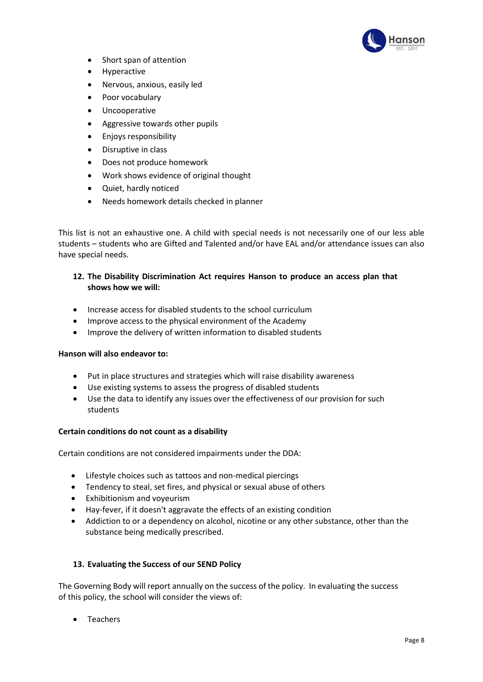

- Short span of attention
- Hyperactive
- Nervous, anxious, easily led
- Poor vocabulary
- Uncooperative
- Aggressive towards other pupils
- Enjoys responsibility
- Disruptive in class
- Does not produce homework
- Work shows evidence of original thought
- Quiet, hardly noticed
- Needs homework details checked in planner

This list is not an exhaustive one. A child with special needs is not necessarily one of our less able students – students who are Gifted and Talented and/or have EAL and/or attendance issues can also have special needs.

# **12. The Disability Discrimination Act requires Hanson to produce an access plan that shows how we will:**

- Increase access for disabled students to the school curriculum
- Improve access to the physical environment of the Academy
- Improve the delivery of written information to disabled students

# **Hanson will also endeavor to:**

- Put in place structures and strategies which will raise disability awareness
- Use existing systems to assess the progress of disabled students
- Use the data to identify any issues over the effectiveness of our provision for such students

# **Certain conditions do not count as a disability**

Certain conditions are not considered impairments under the DDA:

- Lifestyle choices such as tattoos and non-medical piercings
- Tendency to steal, set fires, and physical or sexual abuse of others
- Exhibitionism and voyeurism
- Hay-fever, if it doesn't aggravate the effects of an existing condition
- Addiction to or a dependency on alcohol, nicotine or any other substance, other than the substance being medically prescribed.

# **13. Evaluating the Success of our SEND Policy**

The Governing Body will report annually on the success of the policy. In evaluating the success of this policy, the school will consider the views of:

• Teachers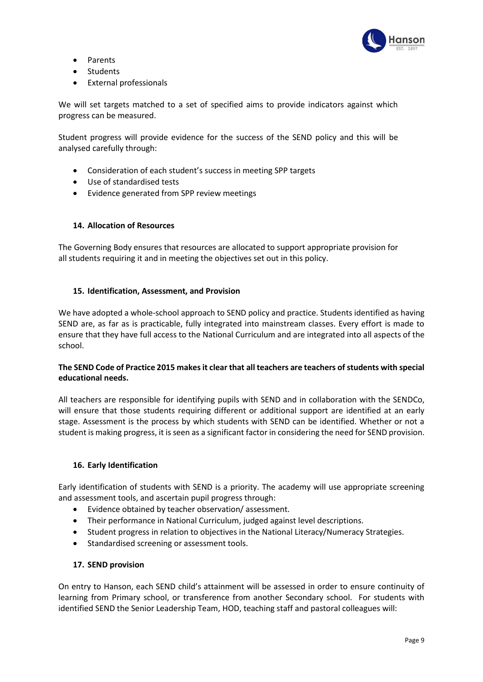

- Parents
- Students
- External professionals

We will set targets matched to a set of specified aims to provide indicators against which progress can be measured.

Student progress will provide evidence for the success of the SEND policy and this will be analysed carefully through:

- Consideration of each student's success in meeting SPP targets
- Use of standardised tests
- Evidence generated from SPP review meetings

# **14. Allocation of Resources**

The Governing Body ensures that resources are allocated to support appropriate provision for all students requiring it and in meeting the objectives set out in this policy.

# **15. Identification, Assessment, and Provision**

We have adopted a whole-school approach to SEND policy and practice. Students identified as having SEND are, as far as is practicable, fully integrated into mainstream classes. Every effort is made to ensure that they have full access to the National Curriculum and are integrated into all aspects of the school.

# **The SEND Code of Practice 2015 makes it clear that all teachers are teachers of students with special educational needs.**

All teachers are responsible for identifying pupils with SEND and in collaboration with the SENDCo, will ensure that those students requiring different or additional support are identified at an early stage. Assessment is the process by which students with SEND can be identified. Whether or not a student is making progress, it is seen as a significant factor in considering the need for SEND provision.

# **16. Early Identification**

Early identification of students with SEND is a priority. The academy will use appropriate screening and assessment tools, and ascertain pupil progress through:

- Evidence obtained by teacher observation/assessment.
- Their performance in National Curriculum, judged against level descriptions.
- Student progress in relation to objectives in the National Literacy/Numeracy Strategies.
- Standardised screening or assessment tools.

# **17. SEND provision**

On entry to Hanson, each SEND child's attainment will be assessed in order to ensure continuity of learning from Primary school, or transference from another Secondary school. For students with identified SEND the Senior Leadership Team, HOD, teaching staff and pastoral colleagues will: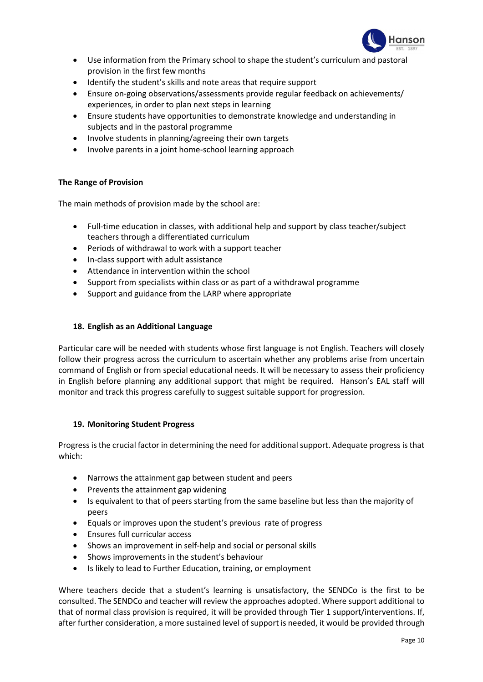

- Use information from the Primary school to shape the student's curriculum and pastoral provision in the first few months
- Identify the student's skills and note areas that require support
- Ensure on-going observations/assessments provide regular feedback on achievements/ experiences, in order to plan next steps in learning
- Ensure students have opportunities to demonstrate knowledge and understanding in subjects and in the pastoral programme
- Involve students in planning/agreeing their own targets
- Involve parents in a joint home-school learning approach

# **The Range of Provision**

The main methods of provision made by the school are:

- Full-time education in classes, with additional help and support by class teacher/subject teachers through a differentiated curriculum
- Periods of withdrawal to work with a support teacher
- In-class support with adult assistance
- Attendance in intervention within the school
- Support from specialists within class or as part of a withdrawal programme
- Support and guidance from the LARP where appropriate

# **18. English as an Additional Language**

Particular care will be needed with students whose first language is not English. Teachers will closely follow their progress across the curriculum to ascertain whether any problems arise from uncertain command of English or from special educational needs. It will be necessary to assess their proficiency in English before planning any additional support that might be required. Hanson's EAL staff will monitor and track this progress carefully to suggest suitable support for progression.

# **19. Monitoring Student Progress**

Progress is the crucial factor in determining the need for additional support. Adequate progress is that which:

- Narrows the attainment gap between student and peers
- Prevents the attainment gap widening
- Is equivalent to that of peers starting from the same baseline but less than the majority of peers
- Equals or improves upon the student's previous rate of progress
- Ensures full curricular access
- Shows an improvement in self-help and social or personal skills
- Shows improvements in the student's behaviour
- Is likely to lead to Further Education, training, or employment

Where teachers decide that a student's learning is unsatisfactory, the SENDCo is the first to be consulted. The SENDCo and teacher will review the approaches adopted. Where support additional to that of normal class provision is required, it will be provided through Tier 1 support/interventions. If, after further consideration, a more sustained level of support is needed, it would be provided through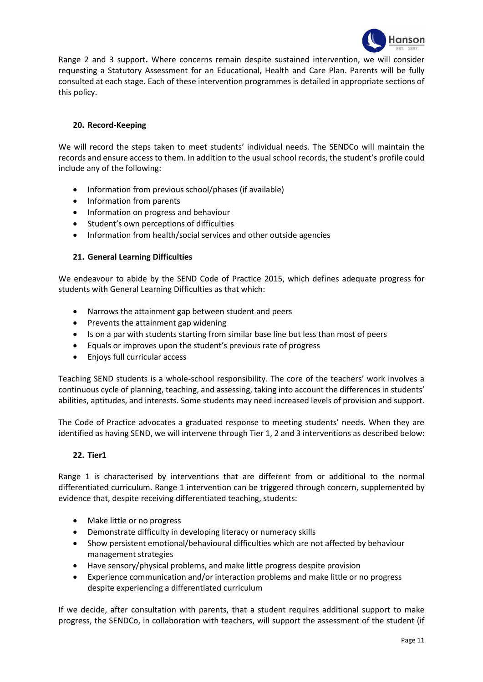

Range 2 and 3 support**.** Where concerns remain despite sustained intervention, we will consider requesting a Statutory Assessment for an Educational, Health and Care Plan. Parents will be fully consulted at each stage. Each of these intervention programmes is detailed in appropriate sections of this policy.

# **20. Record-Keeping**

We will record the steps taken to meet students' individual needs. The SENDCo will maintain the records and ensure access to them. In addition to the usual school records, the student's profile could include any of the following:

- Information from previous school/phases (if available)
- Information from parents
- Information on progress and behaviour
- Student's own perceptions of difficulties
- Information from health/social services and other outside agencies

# **21. General Learning Difficulties**

We endeavour to abide by the SEND Code of Practice 2015, which defines adequate progress for students with General Learning Difficulties as that which:

- Narrows the attainment gap between student and peers
- Prevents the attainment gap widening
- Is on a par with students starting from similar base line but less than most of peers
- Equals or improves upon the student's previous rate of progress
- Enjoys full curricular access

Teaching SEND students is a whole-school responsibility. The core of the teachers' work involves a continuous cycle of planning, teaching, and assessing, taking into account the differences in students' abilities, aptitudes, and interests. Some students may need increased levels of provision and support.

The Code of Practice advocates a graduated response to meeting students' needs. When they are identified as having SEND, we will intervene through Tier 1, 2 and 3 interventions as described below:

# **22. Tier1**

Range 1 is characterised by interventions that are different from or additional to the normal differentiated curriculum. Range 1 intervention can be triggered through concern, supplemented by evidence that, despite receiving differentiated teaching, students:

- Make little or no progress
- Demonstrate difficulty in developing literacy or numeracy skills
- Show persistent emotional/behavioural difficulties which are not affected by behaviour management strategies
- Have sensory/physical problems, and make little progress despite provision
- Experience communication and/or interaction problems and make little or no progress despite experiencing a differentiated curriculum

If we decide, after consultation with parents, that a student requires additional support to make progress, the SENDCo, in collaboration with teachers, will support the assessment of the student (if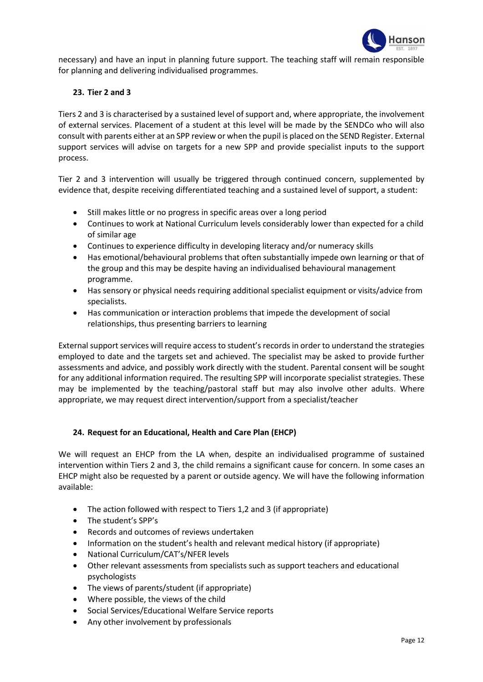

necessary) and have an input in planning future support. The teaching staff will remain responsible for planning and delivering individualised programmes.

# **23. Tier 2 and 3**

Tiers 2 and 3 is characterised by a sustained level of support and, where appropriate, the involvement of external services. Placement of a student at this level will be made by the SENDCo who will also consult with parents either at an SPP review or when the pupil is placed on the SEND Register. External support services will advise on targets for a new SPP and provide specialist inputs to the support process.

Tier 2 and 3 intervention will usually be triggered through continued concern, supplemented by evidence that, despite receiving differentiated teaching and a sustained level of support, a student:

- Still makes little or no progress in specific areas over a long period
- Continues to work at National Curriculum levels considerably lower than expected for a child of similar age
- Continues to experience difficulty in developing literacy and/or numeracy skills
- Has emotional/behavioural problems that often substantially impede own learning or that of the group and this may be despite having an individualised behavioural management programme.
- Has sensory or physical needs requiring additional specialist equipment or visits/advice from specialists.
- Has communication or interaction problems that impede the development of social relationships, thus presenting barriers to learning

External support services will require access to student's records in order to understand the strategies employed to date and the targets set and achieved. The specialist may be asked to provide further assessments and advice, and possibly work directly with the student. Parental consent will be sought for any additional information required. The resulting SPP will incorporate specialist strategies. These may be implemented by the teaching/pastoral staff but may also involve other adults. Where appropriate, we may request direct intervention/support from a specialist/teacher

# **24. Request for an Educational, Health and Care Plan (EHCP)**

We will request an EHCP from the LA when, despite an individualised programme of sustained intervention within Tiers 2 and 3, the child remains a significant cause for concern. In some cases an EHCP might also be requested by a parent or outside agency. We will have the following information available:

- The action followed with respect to Tiers 1,2 and 3 (if appropriate)
- The student's SPP's
- Records and outcomes of reviews undertaken
- Information on the student's health and relevant medical history (if appropriate)
- National Curriculum/CAT's/NFER levels
- Other relevant assessments from specialists such as support teachers and educational psychologists
- The views of parents/student (if appropriate)
- Where possible, the views of the child
- Social Services/Educational Welfare Service reports
- Any other involvement by professionals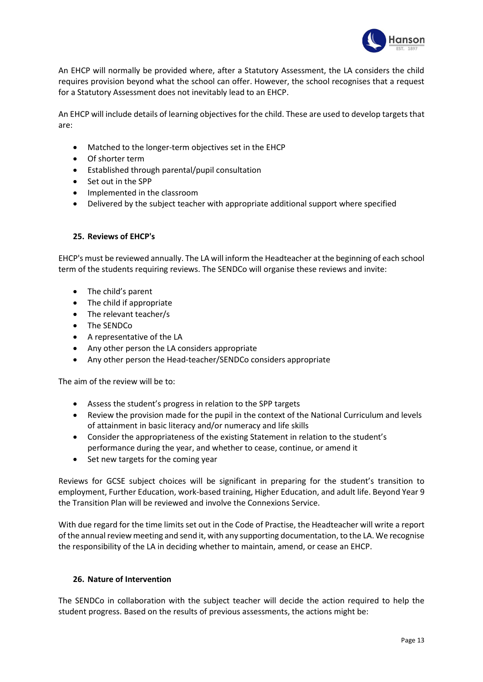

An EHCP will normally be provided where, after a Statutory Assessment, the LA considers the child requires provision beyond what the school can offer. However, the school recognises that a request for a Statutory Assessment does not inevitably lead to an EHCP.

An EHCP will include details of learning objectives for the child. These are used to develop targets that are:

- Matched to the longer-term objectives set in the EHCP
- Of shorter term
- Established through parental/pupil consultation
- Set out in the SPP
- Implemented in the classroom
- Delivered by the subject teacher with appropriate additional support where specified

#### **25. Reviews of EHCP's**

EHCP's must be reviewed annually. The LA will inform the Headteacher at the beginning of each school term of the students requiring reviews. The SENDCo will organise these reviews and invite:

- The child's parent
- The child if appropriate
- The relevant teacher/s
- The SENDCo
- A representative of the LA
- Any other person the LA considers appropriate
- Any other person the Head-teacher/SENDCo considers appropriate

The aim of the review will be to:

- Assess the student's progress in relation to the SPP targets
- Review the provision made for the pupil in the context of the National Curriculum and levels of attainment in basic literacy and/or numeracy and life skills
- Consider the appropriateness of the existing Statement in relation to the student's performance during the year, and whether to cease, continue, or amend it
- Set new targets for the coming year

Reviews for GCSE subject choices will be significant in preparing for the student's transition to employment, Further Education, work-based training, Higher Education, and adult life. Beyond Year 9 the Transition Plan will be reviewed and involve the Connexions Service.

With due regard for the time limits set out in the Code of Practise, the Headteacher will write a report of the annual review meeting and send it, with any supporting documentation, to the LA. We recognise the responsibility of the LA in deciding whether to maintain, amend, or cease an EHCP.

# **26. Nature of Intervention**

The SENDCo in collaboration with the subject teacher will decide the action required to help the student progress. Based on the results of previous assessments, the actions might be: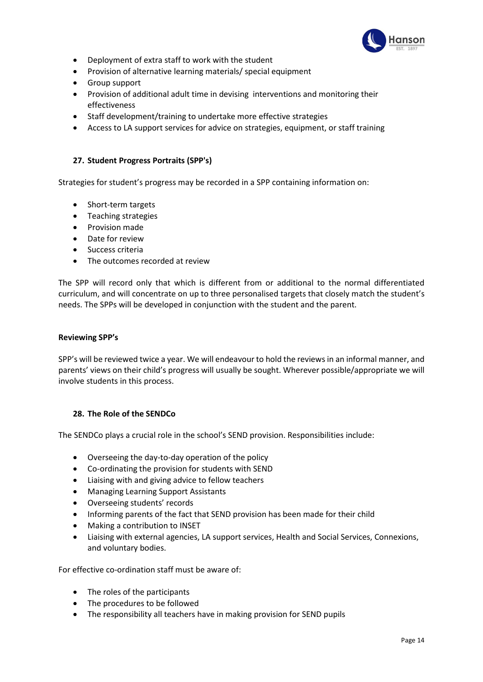

- Deployment of extra staff to work with the student
- Provision of alternative learning materials/ special equipment
- Group support
- Provision of additional adult time in devising interventions and monitoring their effectiveness
- Staff development/training to undertake more effective strategies
- Access to LA support services for advice on strategies, equipment, or staff training

# **27. Student Progress Portraits (SPP's)**

Strategies for student's progress may be recorded in a SPP containing information on:

- Short-term targets
- Teaching strategies
- Provision made
- Date for review
- Success criteria
- The outcomes recorded at review

The SPP will record only that which is different from or additional to the normal differentiated curriculum, and will concentrate on up to three personalised targets that closely match the student's needs. The SPPs will be developed in conjunction with the student and the parent.

#### **Reviewing SPP's**

SPP's will be reviewed twice a year. We will endeavour to hold the reviews in an informal manner, and parents' views on their child's progress will usually be sought. Wherever possible/appropriate we will involve students in this process.

# **28. The Role of the SENDCo**

The SENDCo plays a crucial role in the school's SEND provision. Responsibilities include:

- Overseeing the day-to-day operation of the policy
- Co-ordinating the provision for students with SEND
- Liaising with and giving advice to fellow teachers
- Managing Learning Support Assistants
- Overseeing students' records
- Informing parents of the fact that SEND provision has been made for their child
- Making a contribution to INSET
- Liaising with external agencies, LA support services, Health and Social Services, Connexions, and voluntary bodies.

For effective co-ordination staff must be aware of:

- The roles of the participants
- The procedures to be followed
- The responsibility all teachers have in making provision for SEND pupils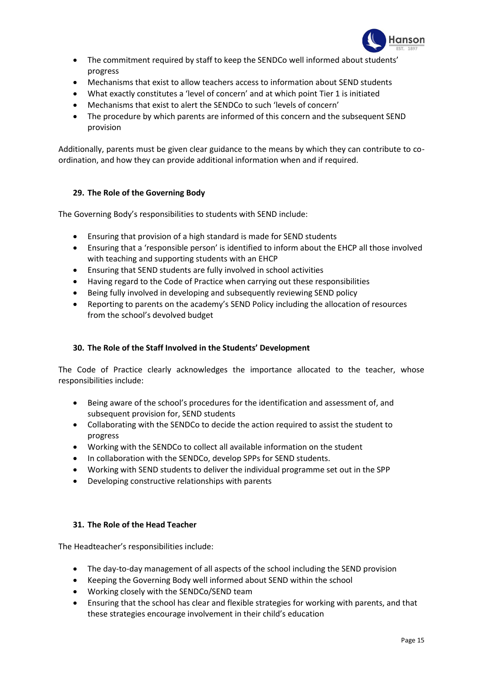

- The commitment required by staff to keep the SENDCo well informed about students' progress
- Mechanisms that exist to allow teachers access to information about SEND students
- What exactly constitutes a 'level of concern' and at which point Tier 1 is initiated
- Mechanisms that exist to alert the SENDCo to such 'levels of concern'
- The procedure by which parents are informed of this concern and the subsequent SEND provision

Additionally, parents must be given clear guidance to the means by which they can contribute to coordination, and how they can provide additional information when and if required.

# **29. The Role of the Governing Body**

The Governing Body's responsibilities to students with SEND include:

- Ensuring that provision of a high standard is made for SEND students
- Ensuring that a 'responsible person' is identified to inform about the EHCP all those involved with teaching and supporting students with an EHCP
- Ensuring that SEND students are fully involved in school activities
- Having regard to the Code of Practice when carrying out these responsibilities
- Being fully involved in developing and subsequently reviewing SEND policy
- Reporting to parents on the academy's SEND Policy including the allocation of resources from the school's devolved budget

# **30. The Role of the Staff Involved in the Students' Development**

The Code of Practice clearly acknowledges the importance allocated to the teacher, whose responsibilities include:

- Being aware of the school's procedures for the identification and assessment of, and subsequent provision for, SEND students
- Collaborating with the SENDCo to decide the action required to assist the student to progress
- Working with the SENDCo to collect all available information on the student
- In collaboration with the SENDCo, develop SPPs for SEND students.
- Working with SEND students to deliver the individual programme set out in the SPP
- Developing constructive relationships with parents

# **31. The Role of the Head Teacher**

The Headteacher's responsibilities include:

- The day-to-day management of all aspects of the school including the SEND provision
- Keeping the Governing Body well informed about SEND within the school
- Working closely with the SENDCo/SEND team
- Ensuring that the school has clear and flexible strategies for working with parents, and that these strategies encourage involvement in their child's education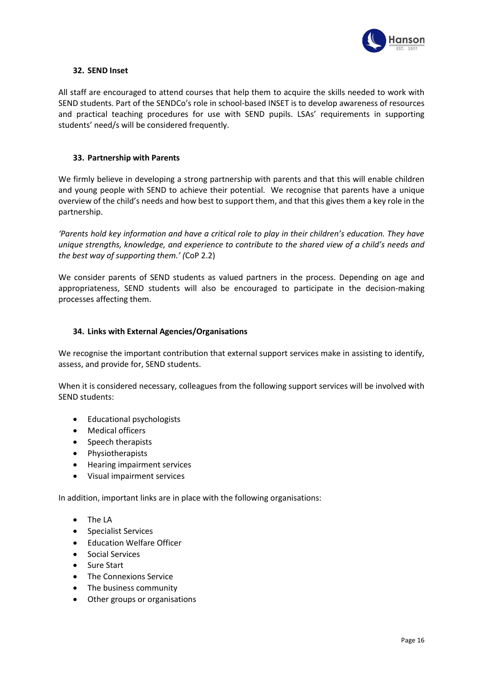

# **32. SEND Inset**

All staff are encouraged to attend courses that help them to acquire the skills needed to work with SEND students. Part of the SENDCo's role in school-based INSET is to develop awareness of resources and practical teaching procedures for use with SEND pupils. LSAs' requirements in supporting students' need/s will be considered frequently.

#### **33. Partnership with Parents**

We firmly believe in developing a strong partnership with parents and that this will enable children and young people with SEND to achieve their potential. We recognise that parents have a unique overview of the child's needs and how best to support them, and that this gives them a key role in the partnership.

*'Parents hold key information and have a critical role to play in their children's education. They have unique strengths, knowledge, and experience to contribute to the shared view of a child's needs and the best way of supporting them.' (*CoP 2.2)

We consider parents of SEND students as valued partners in the process. Depending on age and appropriateness, SEND students will also be encouraged to participate in the decision-making processes affecting them.

#### **34. Links with External Agencies/Organisations**

We recognise the important contribution that external support services make in assisting to identify, assess, and provide for, SEND students.

When it is considered necessary, colleagues from the following support services will be involved with SEND students:

- Educational psychologists
- Medical officers
- Speech therapists
- Physiotherapists
- Hearing impairment services
- Visual impairment services

In addition, important links are in place with the following organisations:

- The LA
- Specialist Services
- Education Welfare Officer
- Social Services
- Sure Start
- The Connexions Service
- The business community
- Other groups or organisations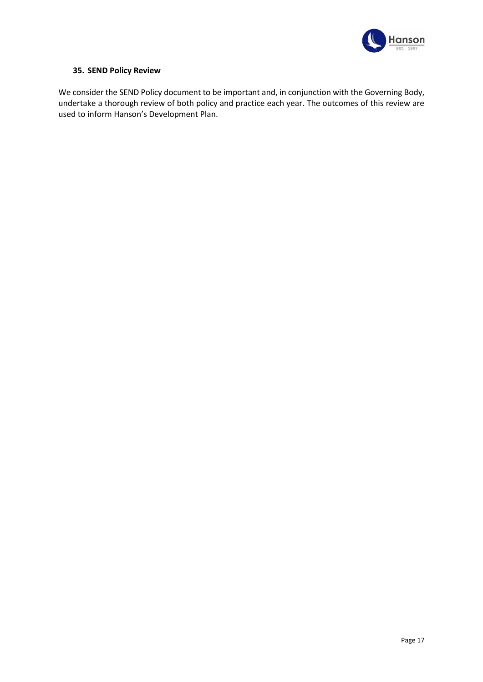

# **35. SEND Policy Review**

We consider the SEND Policy document to be important and, in conjunction with the Governing Body, undertake a thorough review of both policy and practice each year. The outcomes of this review are used to inform Hanson's Development Plan.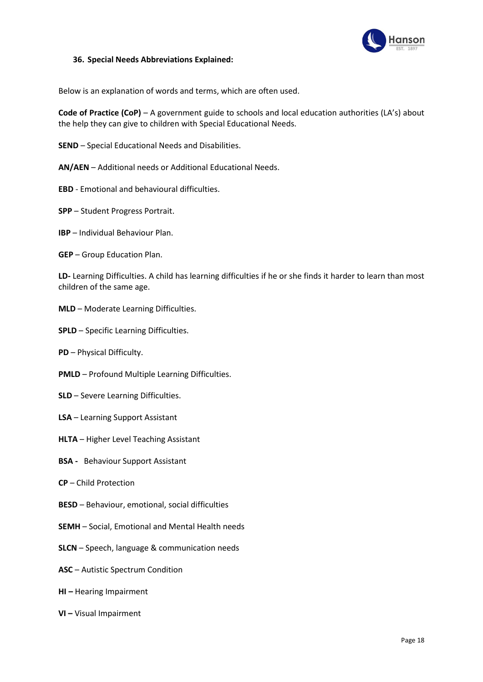

#### **36. Special Needs Abbreviations Explained:**

Below is an explanation of words and terms, which are often used.

**Code of Practice (CoP)** – A government guide to schools and local education authorities (LA's) about the help they can give to children with Special Educational Needs.

- **SEND** Special Educational Needs and Disabilities.
- **AN/AEN** Additional needs or Additional Educational Needs.
- **EBD**  Emotional and behavioural difficulties.
- **SPP** Student Progress Portrait.
- **IBP** Individual Behaviour Plan.
- **GEP** Group Education Plan.

**LD-** Learning Difficulties. A child has learning difficulties if he or she finds it harder to learn than most children of the same age.

- **MLD** Moderate Learning Difficulties.
- **SPLD** Specific Learning Difficulties.
- **PD**  Physical Difficulty.
- **PMLD**  Profound Multiple Learning Difficulties.
- **SLD** Severe Learning Difficulties.
- **LSA** Learning Support Assistant
- **HLTA** Higher Level Teaching Assistant
- **BSA** Behaviour Support Assistant
- **CP** Child Protection
- **BESD** Behaviour, emotional, social difficulties
- **SEMH** Social, Emotional and Mental Health needs
- **SLCN** Speech, language & communication needs
- **ASC** Autistic Spectrum Condition
- **HI –** Hearing Impairment
- **VI –** Visual Impairment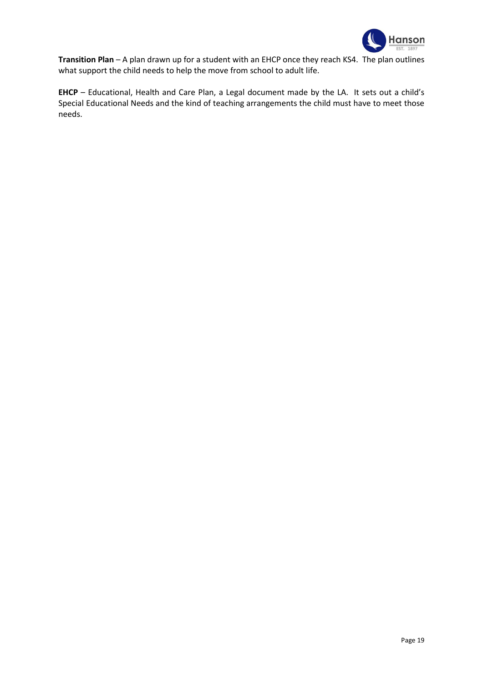

**Transition Plan** – A plan drawn up for a student with an EHCP once they reach KS4. The plan outlines what support the child needs to help the move from school to adult life.

**EHCP** – Educational, Health and Care Plan, a Legal document made by the LA. It sets out a child's Special Educational Needs and the kind of teaching arrangements the child must have to meet those needs.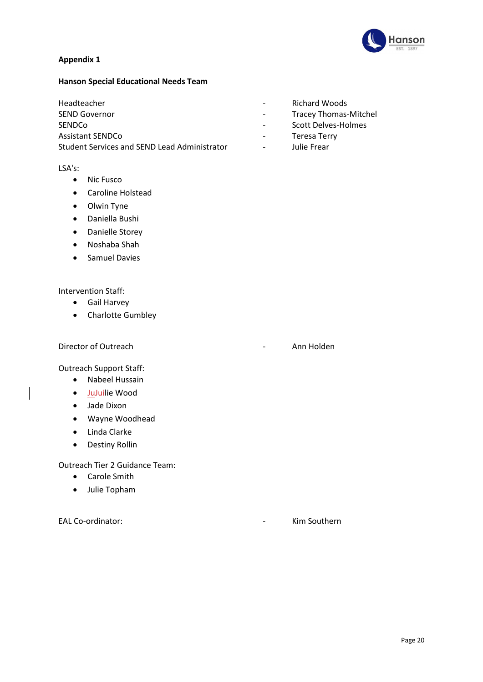

# **Appendix 1**

# **Hanson Special Educational Needs Team**

SEND Governor **SEND** Governor **COVERTS EXECUTE:** Tracey Thomas-Mitchel SENDCo **- Scott Delves-Holmes** Assistant SENDCo **Assistant SENDCo CONSUMING THE CONSUMING TERRY** Student Services and SEND Lead Administrator **Frace 2** Julie Frear

# LSA's:

- Nic Fusco
- Caroline Holstead
- Olwin Tyne
- Daniella Bushi
- Danielle Storey
- Noshaba Shah
- Samuel Davies

# Intervention Staff:

- Gail Harvey
- Charlotte Gumbley

Director of Outreach **Annual Executive Control** 2 Annual Annual Annual Annual Annual Annual Annual Annual Annual Annual Annual Annual Annual Annual Annual Annual Annual Annual Annual Annual Annual Annual Annual Annual Annu

Outreach Support Staff:

- Nabeel Hussain
- Ju<del>Jui</del>lie Wood
- Jade Dixon
- Wayne Woodhead
- Linda Clarke
- Destiny Rollin

Outreach Tier 2 Guidance Team:

- Carole Smith
- Julie Topham

EAL Co-ordinator: - Kim Southern

- Headteacher Richard Woods
	-
	-
	-
	-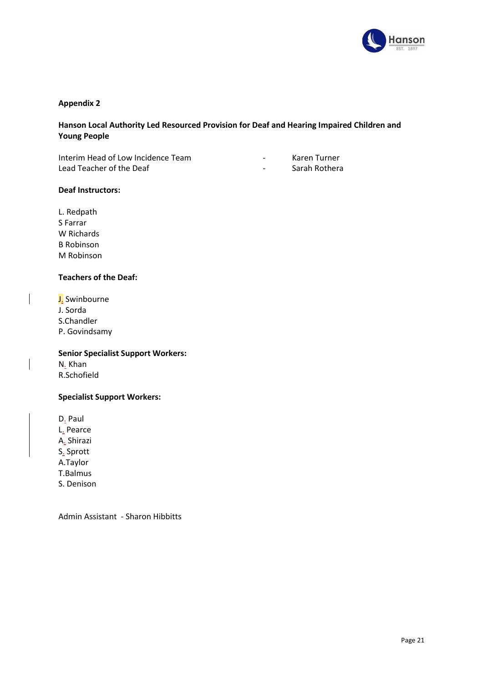

# **Appendix 2**

# **Hanson Local Authority Led Resourced Provision for Deaf and Hearing Impaired Children and Young People**

Interim Head of Low Incidence Team - Karen Turner Lead Teacher of the Deaf and the Sarah Rothera

- 
- 

L. Redpath S Farrar W Richards B Robinson M Robinson

**Deaf Instructors:**

# **Teachers of the Deaf:**

J. Swinbourne J. Sorda S.Chandler P. Govindsamy

**Senior Specialist Support Workers:** N. Khan

R.Schofield

# **Specialist Support Workers:**

D. Paul L. Pearce A. Shirazi S. Sprott A.Taylor T.Balmus S. Denison

Admin Assistant - Sharon Hibbitts